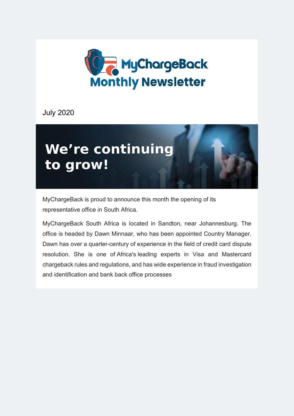

July 2020



MyChargeBack is proud to announce this month the opening of its representative office in South Africa.

MyChargeBack South Africa is located in Sandton, near Johannesburg. The office is headed by Dawn Minnaar, who has been appointed Country Manager. Dawn has over a quarter-century of experience in the field of credit card dispute resolution. She is one of Africa's leading experts in Visa and Mastercard chargeback rules and regulations, and has wide experience in fraud investigation and identification and bank back office processes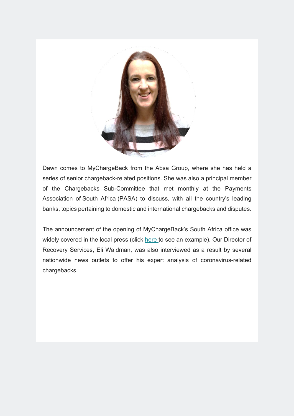

Dawn comes to MyChargeBack from the Absa Group, where she has held a series of senior chargeback-related positions. She was also a principal member of the Chargebacks Sub-Committee that met monthly at the Payments Association of South Africa (PASA) to discuss, with all the country's leading banks, topics pertaining to domestic and international chargebacks and disputes.

The announcement of the opening of MyChargeBack's South Africa office was widely covered in the local press (click [here](https://www.itweb.co.za/content/raYAyqodxewvJ38N) to see an example). Our Director of Recovery Services, Eli Waldman, was also interviewed as a result by several nationwide news outlets to offer his expert analysis of coronavirus-related chargebacks.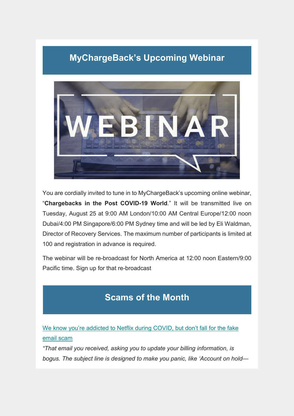# **MyChargeBack's Upcoming Webinar**



You are cordially invited to tune in to MyChargeBack's upcoming online webinar, "**Chargebacks in the Post COVID-19 World**." It will be transmitted live on Tuesday, August 25 at 9:00 AM London/10:00 AM Central Europe/12:00 noon Dubai/4:00 PM Singapore/6:00 PM Sydney time and will be led by Eli Waldman, Director of Recovery Services. The maximum number of participants is limited at 100 and registration in advance is required.

The webinar will be re-broadcast for North America at 12:00 noon Eastern/9:00 Pacific time. Sign up for that re-broadcast

# **Scams of the Month**

[We know you're addicted to Netflix during COVID, but don't fall for the fake](https://www.fastcompany.com/90530490/we-know-youre-addicted-to-netflix-during-covid-but-dont-fall-for-the-fake-email-scam)  [email scam](https://www.fastcompany.com/90530490/we-know-youre-addicted-to-netflix-during-covid-but-dont-fall-for-the-fake-email-scam)

*"That email you received, asking you to update your billing information, is bogus. The subject line is designed to make you panic, like 'Account on hold—*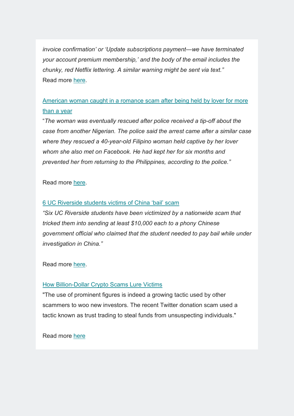*invoice confirmation' or 'Update subscriptions payment—we have terminated your account premium membership,' and the body of the email includes the chunky, red Netflix lettering. A similar warning might be sent via text."* Read more [here.](https://www.fastcompany.com/90530490/we-know-youre-addicted-to-netflix-during-covid-but-dont-fall-for-the-fake-email-scam?fbclid=IwAR06pWb6PfntTZZHObTGN77vUqYiOJgT8mlea2J76vqYeRTkjq1WKZfDSDo)

# [American woman caught in a romance scam after being held by lover for more](https://edition.cnn.com/2020/07/14/africa/american-woman-nigeria-romance-scam-intl/index.html)  [than a year](https://edition.cnn.com/2020/07/14/africa/american-woman-nigeria-romance-scam-intl/index.html)

"*The woman was eventually rescued after police received a tip-off about the case from another Nigerian. The police said the arrest came after a similar case where they rescued a 40-year-old Filipino woman held captive by her lover whom she also met on Facebook. He had kept her for six months and prevented her from returning to the Philippines, according to the police."*

## Read more [here.](https://edition.cnn.com/2020/07/14/africa/american-woman-nigeria-romance-scam-intl/index.html)

#### [6 UC Riverside students victims of China 'bail' scam](https://www.pe.com/2020/07/18/6-uc-riverside-students-victims-of-china-bail-scam/)

*"Six UC Riverside students have been victimized by a nationwide scam that tricked them into sending at least \$10,000 each to a phony Chinese government official who claimed that the student needed to pay bail while under investigation in China."*

## Read more [here.](https://www.pe.com/2020/07/18/6-uc-riverside-students-victims-of-china-bail-scam/)

## [How Billion-Dollar Crypto Scams Lure Victims](https://news.bitcoin.com/how-billion-dollar-crypto-scams-lure-victims/?fbclid=IwAR2DAMdb_TLKRfOB3Z_YxeJt9Vau6Jp9V28o_kj4-9yK2uCz9P0mH1OgpoA)

"The use of prominent figures is indeed a growing tactic used by other scammers to woo new investors. The recent Twitter donation scam used a tactic known as trust trading to steal funds from unsuspecting individuals."

Read more [here](https://news.bitcoin.com/how-billion-dollar-crypto-scams-lure-victims/?fbclid=IwAR2DAMdb_TLKRfOB3Z_YxeJt9Vau6Jp9V28o_kj4-9yK2uCz9P0mH1OgpoA)